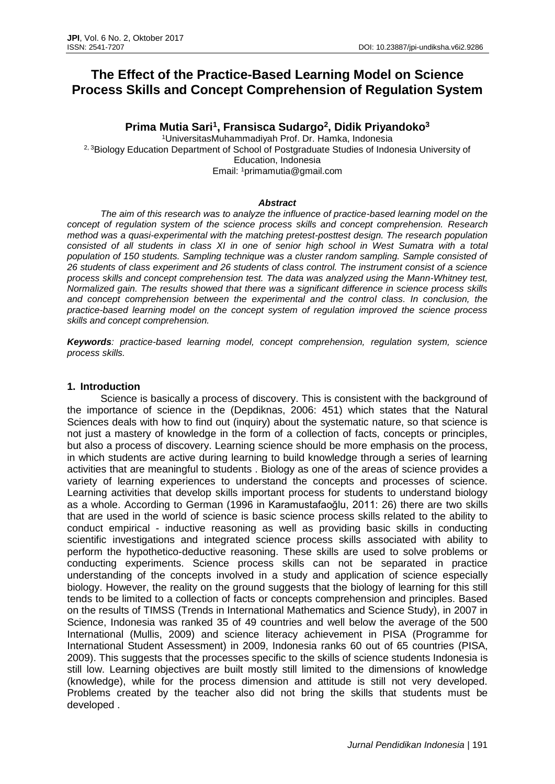# **The Effect of the Practice-Based Learning Model on Science Process Skills and Concept Comprehension of Regulation System**

# **Prima Mutia Sari<sup>1</sup> , Fransisca Sudargo<sup>2</sup> , Didik Priyandoko<sup>3</sup>**

<sup>1</sup>UniversitasMuhammadiyah Prof. Dr. Hamka, Indonesia <sup>2, 3</sup>Biology Education Department of School of Postgraduate Studies of Indonesia University of Education, Indonesia Email: <sup>1</sup>[primamutia@gmail.com](mailto:primamutia@gmail.com)

# *Abstract*

*The aim of this research was to analyze the influence of practice-based learning model on the concept of regulation system of the science process skills and concept comprehension. Research method was a quasi-experimental with the matching pretest-posttest design. The research population consisted of all students in class XI in one of senior high school in West Sumatra with a total population of 150 students. Sampling technique was a cluster random sampling. Sample consisted of 26 students of class experiment and 26 students of class control. The instrument consist of a science process skills and concept comprehension test. The data was analyzed using the Mann-Whitney test, Normalized gain. The results showed that there was a significant difference in science process skills and concept comprehension between the experimental and the control class. In conclusion, the practice-based learning model on the concept system of regulation improved the science process skills and concept comprehension.*

*Keywords: practice-based learning model, concept comprehension, regulation system, science process skills.*

#### **1. Introduction**

Science is basically a process of discovery. This is consistent with the background of the importance of science in the (Depdiknas, 2006: 451) which states that the Natural Sciences deals with how to find out (inquiry) about the systematic nature, so that science is not just a mastery of knowledge in the form of a collection of facts, concepts or principles, but also a process of discovery. Learning science should be more emphasis on the process, in which students are active during learning to build knowledge through a series of learning activities that are meaningful to students . Biology as one of the areas of science provides a variety of learning experiences to understand the concepts and processes of science. Learning activities that develop skills important process for students to understand biology as a whole. According to German (1996 in Karamustafaoğlu, 2011: 26) there are two skills that are used in the world of science is basic science process skills related to the ability to conduct empirical - inductive reasoning as well as providing basic skills in conducting scientific investigations and integrated science process skills associated with ability to perform the hypothetico-deductive reasoning. These skills are used to solve problems or conducting experiments. Science process skills can not be separated in practice understanding of the concepts involved in a study and application of science especially biology. However, the reality on the ground suggests that the biology of learning for this still tends to be limited to a collection of facts or concepts comprehension and principles. Based on the results of TIMSS (Trends in International Mathematics and Science Study), in 2007 in Science, Indonesia was ranked 35 of 49 countries and well below the average of the 500 International (Mullis, 2009) and science literacy achievement in PISA (Programme for International Student Assessment) in 2009, Indonesia ranks 60 out of 65 countries (PISA, 2009). This suggests that the processes specific to the skills of science students Indonesia is still low. Learning objectives are built mostly still limited to the dimensions of knowledge (knowledge), while for the process dimension and attitude is still not very developed. Problems created by the teacher also did not bring the skills that students must be developed .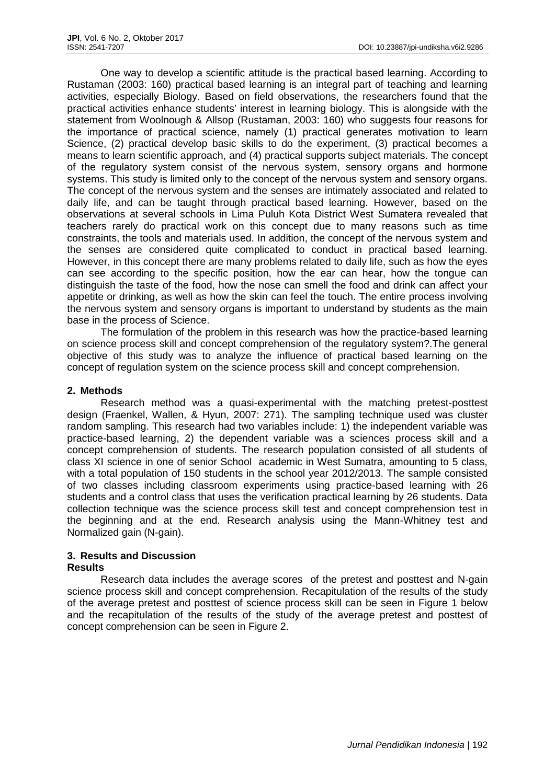One way to develop a scientific attitude is the practical based learning. According to Rustaman (2003: 160) practical based learning is an integral part of teaching and learning activities, especially Biology. Based on field observations, the researchers found that the practical activities enhance students' interest in learning biology. This is alongside with the statement from Woolnough & Allsop (Rustaman, 2003: 160) who suggests four reasons for the importance of practical science, namely (1) practical generates motivation to learn Science, (2) practical develop basic skills to do the experiment, (3) practical becomes a means to learn scientific approach, and (4) practical supports subject materials. The concept of the regulatory system consist of the nervous system, sensory organs and hormone systems. This study is limited only to the concept of the nervous system and sensory organs. The concept of the nervous system and the senses are intimately associated and related to daily life, and can be taught through practical based learning. However, based on the observations at several schools in Lima Puluh Kota District West Sumatera revealed that teachers rarely do practical work on this concept due to many reasons such as time constraints, the tools and materials used. In addition, the concept of the nervous system and the senses are considered quite complicated to conduct in practical based learning. However, in this concept there are many problems related to daily life, such as how the eyes can see according to the specific position, how the ear can hear, how the tongue can distinguish the taste of the food, how the nose can smell the food and drink can affect your appetite or drinking, as well as how the skin can feel the touch. The entire process involving the nervous system and sensory organs is important to understand by students as the main base in the process of Science.

The formulation of the problem in this research was how the practice-based learning on science process skill and concept comprehension of the regulatory system?.The general objective of this study was to analyze the influence of practical based learning on the concept of regulation system on the science process skill and concept comprehension.

#### **2. Methods**

Research method was a quasi-experimental with the matching pretest-posttest design (Fraenkel, Wallen, & Hyun, 2007: 271). The sampling technique used was cluster random sampling. This research had two variables include: 1) the independent variable was practice-based learning, 2) the dependent variable was a sciences process skill and a concept comprehension of students. The research population consisted of all students of class XI science in one of senior School academic in West Sumatra, amounting to 5 class, with a total population of 150 students in the school year 2012/2013. The sample consisted of two classes including classroom experiments using practice-based learning with 26 students and a control class that uses the verification practical learning by 26 students. Data collection technique was the science process skill test and concept comprehension test in the beginning and at the end. Research analysis using the Mann-Whitney test and Normalized gain (N-gain).

# **3. Results and Discussion**

# **Results**

Research data includes the average scores of the pretest and posttest and N-gain science process skill and concept comprehension. Recapitulation of the results of the study of the average pretest and posttest of science process skill can be seen in Figure 1 below and the recapitulation of the results of the study of the average pretest and posttest of concept comprehension can be seen in Figure 2.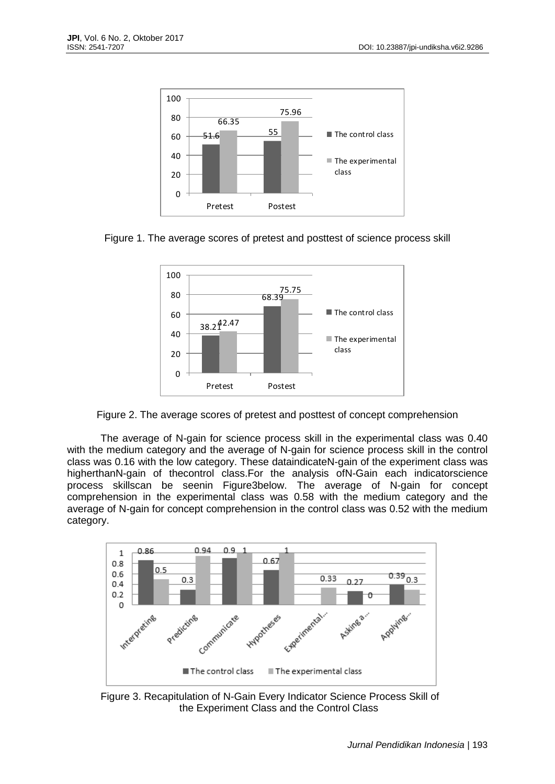





Figure 2. The average scores of pretest and posttest of concept comprehension

The average of N-gain for science process skill in the experimental class was 0.40 with the medium category and the average of N-gain for science process skill in the control class was 0.16 with the low category. These dataindicateN-gain of the experiment class was higherthanN-gain of thecontrol class.For the analysis ofN-Gain each indicatorscience process skillscan be seenin Figure3below. The average of N-gain for concept comprehension in the experimental class was 0.58 with the medium category and the average of N-gain for concept comprehension in the control class was 0.52 with the medium category.



Figure 3. Recapitulation of N-Gain Every Indicator Science Process Skill of the Experiment Class and the Control Class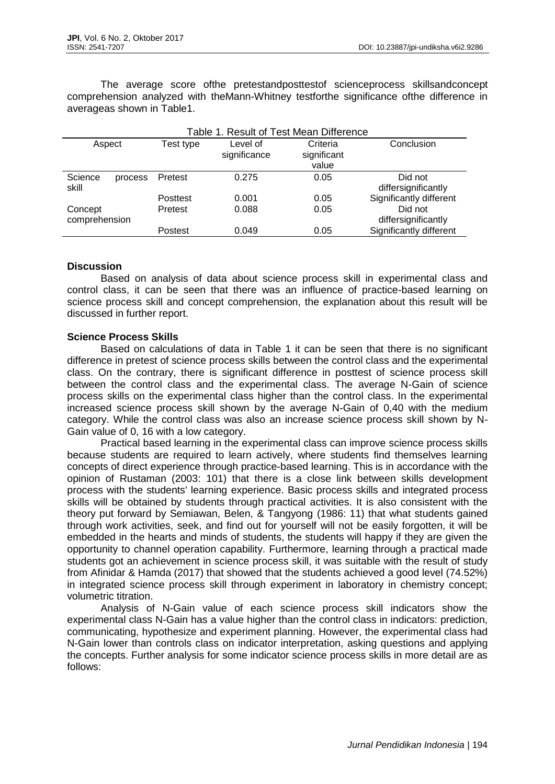The average score ofthe pretestandposttestof scienceprocess skillsandconcept comprehension analyzed with theMann-Whitney testforthe significance ofthe difference in averageas shown in Table1.

| Table 1. Result of Test Mean Difference |           |                          |                                  |                                |
|-----------------------------------------|-----------|--------------------------|----------------------------------|--------------------------------|
| Aspect                                  | Test type | Level of<br>significance | Criteria<br>significant<br>value | Conclusion                     |
| Science<br>process<br>skill             | Pretest   | 0.275                    | 0.05                             | Did not<br>differsignificantly |
|                                         | Posttest  | 0.001                    | 0.05                             | Significantly different        |
| Concept<br>comprehension                | Pretest   | 0.088                    | 0.05                             | Did not<br>differsignificantly |
|                                         | Postest   | 0.049                    | 0.05                             | Significantly different        |

# **Discussion**

Based on analysis of data about science process skill in experimental class and control class, it can be seen that there was an influence of practice-based learning on science process skill and concept comprehension, the explanation about this result will be discussed in further report.

# **Science Process Skills**

Based on calculations of data in Table 1 it can be seen that there is no significant difference in pretest of science process skills between the control class and the experimental class. On the contrary, there is significant difference in posttest of science process skill between the control class and the experimental class. The average N-Gain of science process skills on the experimental class higher than the control class. In the experimental increased science process skill shown by the average N-Gain of 0,40 with the medium category. While the control class was also an increase science process skill shown by N-Gain value of 0, 16 with a low category.

Practical based learning in the experimental class can improve science process skills because students are required to learn actively, where students find themselves learning concepts of direct experience through practice-based learning. This is in accordance with the opinion of Rustaman (2003: 101) that there is a close link between skills development process with the students' learning experience. Basic process skills and integrated process skills will be obtained by students through practical activities. It is also consistent with the theory put forward by Semiawan, Belen, & Tangyong (1986: 11) that what students gained through work activities, seek, and find out for yourself will not be easily forgotten, it will be embedded in the hearts and minds of students, the students will happy if they are given the opportunity to channel operation capability. Furthermore, learning through a practical made students got an achievement in science process skill, it was suitable with the result of study from Afinidar & Hamda (2017) that showed that the students achieved a good level (74.52%) in integrated science process skill through experiment in laboratory in chemistry concept; volumetric titration.

Analysis of N-Gain value of each science process skill indicators show the experimental class N-Gain has a value higher than the control class in indicators: prediction, communicating, hypothesize and experiment planning. However, the experimental class had N-Gain lower than controls class on indicator interpretation, asking questions and applying the concepts. Further analysis for some indicator science process skills in more detail are as follows: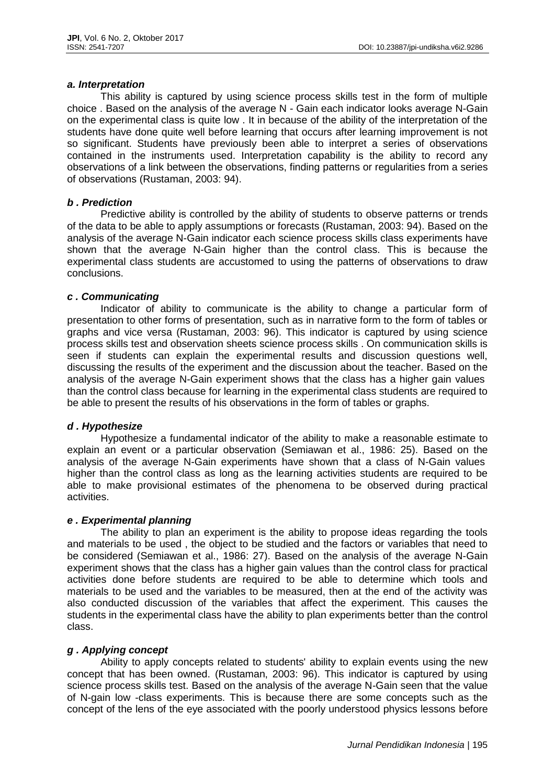#### *a. Interpretation*

This ability is captured by using science process skills test in the form of multiple choice . Based on the analysis of the average N - Gain each indicator looks average N-Gain on the experimental class is quite low . It in because of the ability of the interpretation of the students have done quite well before learning that occurs after learning improvement is not so significant. Students have previously been able to interpret a series of observations contained in the instruments used. Interpretation capability is the ability to record any observations of a link between the observations, finding patterns or regularities from a series of observations (Rustaman, 2003: 94).

# *b . Prediction*

Predictive ability is controlled by the ability of students to observe patterns or trends of the data to be able to apply assumptions or forecasts (Rustaman, 2003: 94). Based on the analysis of the average N-Gain indicator each science process skills class experiments have shown that the average N-Gain higher than the control class. This is because the experimental class students are accustomed to using the patterns of observations to draw conclusions.

#### *c . Communicating*

Indicator of ability to communicate is the ability to change a particular form of presentation to other forms of presentation, such as in narrative form to the form of tables or graphs and vice versa (Rustaman, 2003: 96). This indicator is captured by using science process skills test and observation sheets science process skills . On communication skills is seen if students can explain the experimental results and discussion questions well, discussing the results of the experiment and the discussion about the teacher. Based on the analysis of the average N-Gain experiment shows that the class has a higher gain values than the control class because for learning in the experimental class students are required to be able to present the results of his observations in the form of tables or graphs.

# *d . Hypothesize*

Hypothesize a fundamental indicator of the ability to make a reasonable estimate to explain an event or a particular observation (Semiawan et al., 1986: 25). Based on the analysis of the average N-Gain experiments have shown that a class of N-Gain values higher than the control class as long as the learning activities students are required to be able to make provisional estimates of the phenomena to be observed during practical activities.

# *e . Experimental planning*

The ability to plan an experiment is the ability to propose ideas regarding the tools and materials to be used , the object to be studied and the factors or variables that need to be considered (Semiawan et al., 1986: 27). Based on the analysis of the average N-Gain experiment shows that the class has a higher gain values than the control class for practical activities done before students are required to be able to determine which tools and materials to be used and the variables to be measured, then at the end of the activity was also conducted discussion of the variables that affect the experiment. This causes the students in the experimental class have the ability to plan experiments better than the control class.

# *g . Applying concept*

Ability to apply concepts related to students' ability to explain events using the new concept that has been owned. (Rustaman, 2003: 96). This indicator is captured by using science process skills test. Based on the analysis of the average N-Gain seen that the value of N-gain low -class experiments. This is because there are some concepts such as the concept of the lens of the eye associated with the poorly understood physics lessons before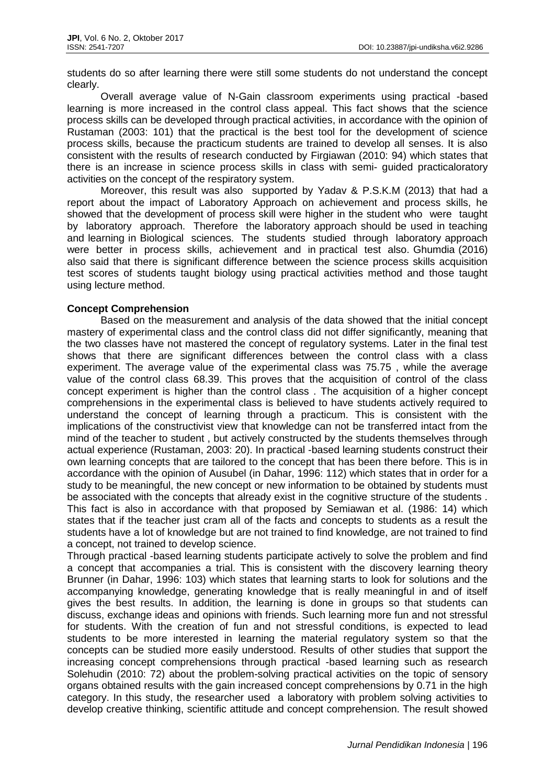students do so after learning there were still some students do not understand the concept clearly.

Overall average value of N-Gain classroom experiments using practical -based learning is more increased in the control class appeal. This fact shows that the science process skills can be developed through practical activities, in accordance with the opinion of Rustaman (2003: 101) that the practical is the best tool for the development of science process skills, because the practicum students are trained to develop all senses. It is also consistent with the results of research conducted by Firgiawan (2010: 94) which states that there is an increase in science process skills in class with semi- guided practicaloratory activities on the concept of the respiratory system.

Moreover, this result was also supported by Yadav & P.S.K.M (2013) that had a report about the impact of Laboratory Approach on achievement and process skills, he showed that the development of process skill were higher in the student who were taught by laboratory approach. Therefore the laboratory approach should be used in teaching and learning in Biological sciences. The students studied through laboratory approach were better in process skills, achievement and in practical test also. Ghumdia (2016) also said that there is significant difference between the science process skills acquisition test scores of students taught biology using practical activities method and those taught using lecture method.

# **Concept Comprehension**

Based on the measurement and analysis of the data showed that the initial concept mastery of experimental class and the control class did not differ significantly, meaning that the two classes have not mastered the concept of regulatory systems. Later in the final test shows that there are significant differences between the control class with a class experiment. The average value of the experimental class was 75.75 , while the average value of the control class 68.39. This proves that the acquisition of control of the class concept experiment is higher than the control class . The acquisition of a higher concept comprehensions in the experimental class is believed to have students actively required to understand the concept of learning through a practicum. This is consistent with the implications of the constructivist view that knowledge can not be transferred intact from the mind of the teacher to student , but actively constructed by the students themselves through actual experience (Rustaman, 2003: 20). In practical -based learning students construct their own learning concepts that are tailored to the concept that has been there before. This is in accordance with the opinion of Ausubel (in Dahar, 1996: 112) which states that in order for a study to be meaningful, the new concept or new information to be obtained by students must be associated with the concepts that already exist in the cognitive structure of the students . This fact is also in accordance with that proposed by Semiawan et al. (1986: 14) which states that if the teacher just cram all of the facts and concepts to students as a result the students have a lot of knowledge but are not trained to find knowledge, are not trained to find a concept, not trained to develop science.

Through practical -based learning students participate actively to solve the problem and find a concept that accompanies a trial. This is consistent with the discovery learning theory Brunner (in Dahar, 1996: 103) which states that learning starts to look for solutions and the accompanying knowledge, generating knowledge that is really meaningful in and of itself gives the best results. In addition, the learning is done in groups so that students can discuss, exchange ideas and opinions with friends. Such learning more fun and not stressful for students. With the creation of fun and not stressful conditions, is expected to lead students to be more interested in learning the material regulatory system so that the concepts can be studied more easily understood. Results of other studies that support the increasing concept comprehensions through practical -based learning such as research Solehudin (2010: 72) about the problem-solving practical activities on the topic of sensory organs obtained results with the gain increased concept comprehensions by 0.71 in the high category. In this study, the researcher used a laboratory with problem solving activities to develop creative thinking, scientific attitude and concept comprehension. The result showed